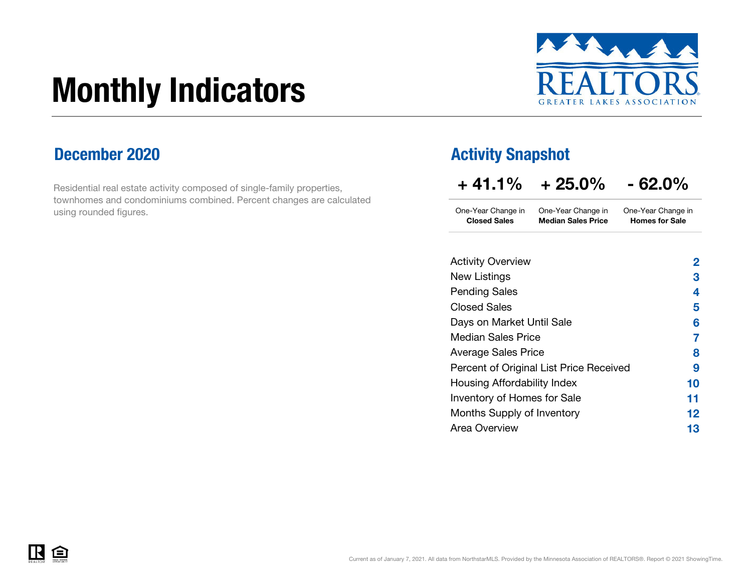# Monthly Indicators



## December 2020

Residential real estate activity composed of single-family properties, townhomes and condominiums combined. Percent changes are calculated using rounded figures.

## Activity Snapshot

## $+41.1\% +25.0\% -62.0\%$

One-Year Change in One-Year Change in Closed Sales Median Sales PriceOne-Year Change in Homes for Sale

| <b>Activity Overview</b>                | 2  |
|-----------------------------------------|----|
| New Listings                            | З  |
| <b>Pending Sales</b>                    | 4  |
| <b>Closed Sales</b>                     | 5  |
| Days on Market Until Sale               | 6  |
| <b>Median Sales Price</b>               | 7  |
| <b>Average Sales Price</b>              | 8  |
| Percent of Original List Price Received | 9  |
| Housing Affordability Index             | 10 |
| Inventory of Homes for Sale             | 11 |
| Months Supply of Inventory              | 12 |
| Area Overview                           | 13 |
|                                         |    |

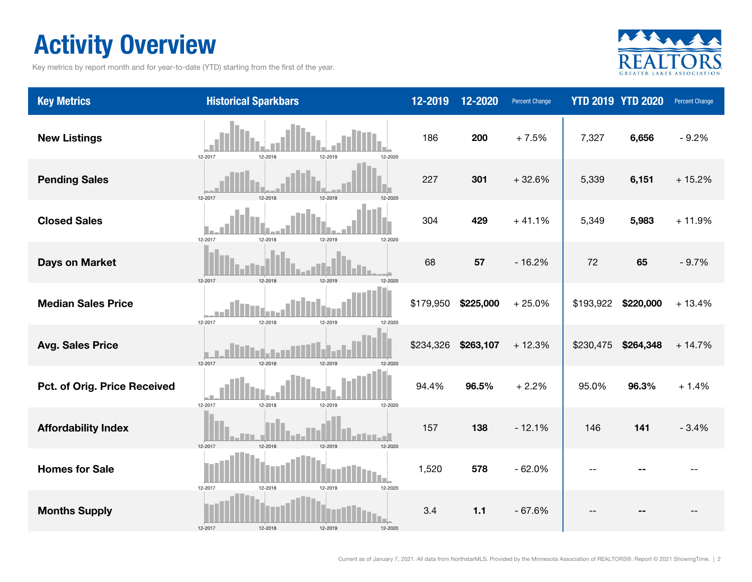# Activity Overview

Key metrics by report month and for year-to-date (YTD) starting from the first of the year.



| <b>Key Metrics</b>           | <b>Historical Sparkbars</b>              | 12-2019   | 12-2020   | Percent Change |           | <b>YTD 2019 YTD 2020</b> | <b>Percent Change</b> |
|------------------------------|------------------------------------------|-----------|-----------|----------------|-----------|--------------------------|-----------------------|
| <b>New Listings</b>          | 12-2017<br>12-2018<br>12-2019<br>12-2020 | 186       | 200       | $+7.5%$        | 7,327     | 6,656                    | $-9.2%$               |
| <b>Pending Sales</b>         | 12-2017<br>12-2018<br>12-2019<br>12-2020 | 227       | 301       | $+32.6%$       | 5,339     | 6,151                    | $+15.2%$              |
| <b>Closed Sales</b>          | 12-2017<br>12-2018<br>12-2019<br>12-2020 | 304       | 429       | $+41.1%$       | 5,349     | 5,983                    | $+11.9%$              |
| Days on Market               | 12-2018<br>12-2019<br>12-2017<br>12-2020 | 68        | 57        | $-16.2%$       | 72        | 65                       | $-9.7%$               |
| <b>Median Sales Price</b>    | 12-2017<br>12-2018<br>12-2019<br>12-2020 | \$179,950 | \$225,000 | $+25.0%$       | \$193,922 | \$220,000                | $+13.4%$              |
| <b>Avg. Sales Price</b>      | 12-2017<br>12-2018<br>12-2019<br>12-2020 | \$234,326 | \$263,107 | $+12.3%$       | \$230,475 | \$264,348                | $+14.7%$              |
| Pct. of Orig. Price Received | 12-2017<br>12-2018<br>12-2019<br>12-2020 | 94.4%     | 96.5%     | $+2.2%$        | 95.0%     | 96.3%                    | $+1.4%$               |
| <b>Affordability Index</b>   | 12-2017<br>12-2018<br>12-2019<br>12-2020 | 157       | 138       | $-12.1%$       | 146       | 141                      | $-3.4%$               |
| <b>Homes for Sale</b>        | 12-2017<br>12-2018<br>12-2019<br>12-2020 | 1,520     | 578       | $-62.0%$       |           |                          |                       |
| <b>Months Supply</b>         | 12-2017<br>12-2018<br>12-2019<br>12-2020 | 3.4       | $1.1$     | $-67.6%$       |           |                          |                       |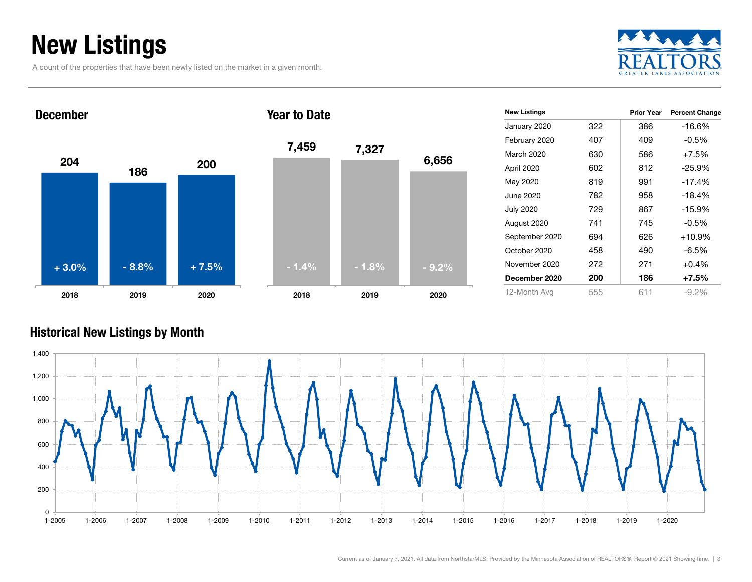# New Listings

A count of the properties that have been newly listed on the market in a given month.





| <b>New Listings</b> |     | <b>Prior Year</b> | <b>Percent Change</b> |
|---------------------|-----|-------------------|-----------------------|
|                     |     |                   |                       |
| January 2020        | 322 | 386               | -16.6%                |
| February 2020       | 407 | 409               | $-0.5\%$              |
| March 2020          | 630 | 586               | $+7.5%$               |
| April 2020          | 602 | 812               | $-25.9%$              |
| May 2020            | 819 | 991               | $-17.4%$              |
| June 2020           | 782 | 958               | $-18.4%$              |
| <b>July 2020</b>    | 729 | 867               | $-15.9%$              |
| August 2020         | 741 | 745               | $-0.5\%$              |
| September 2020      | 694 | 626               | +10.9%                |
| October 2020        | 458 | 490               | $-6.5%$               |
| November 2020       | 272 | 271               | $+0.4%$               |
| December 2020       | 200 | 186               | $+7.5\%$              |
| 12-Month Avg        | 555 | 611               | $-9.2\%$              |

### Historical New Listings by Month



6,656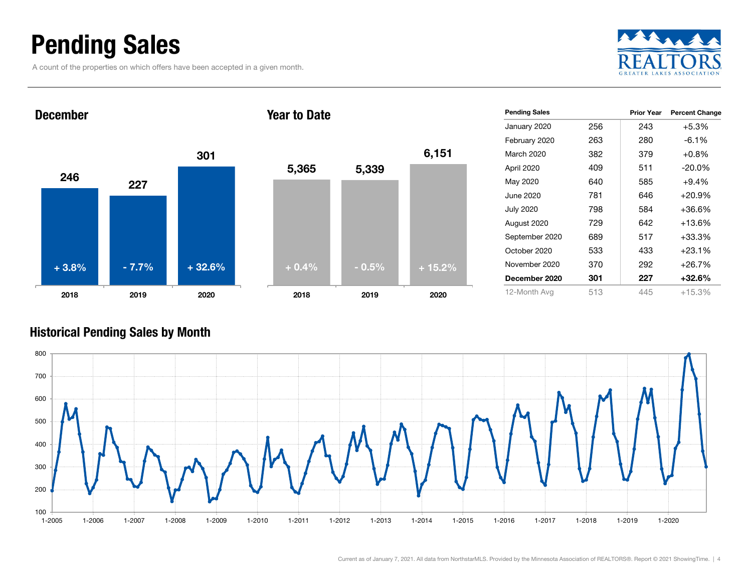## Pending Sales

A count of the properties on which offers have been accepted in a given month.



## 246 2273012018 2019 2020 December2018Year to Date+ 3.8% $- 7.7\%$  + 32.6%

| 5,365   | 5,339   | 6,151    |
|---------|---------|----------|
|         |         |          |
| $+0.4%$ | $-0.5%$ | $+15.2%$ |
| 2018    | 2019    | 2020     |

| <b>Pending Sales</b> |     | <b>Prior Year</b> | <b>Percent Change</b> |
|----------------------|-----|-------------------|-----------------------|
| January 2020         | 256 | 243               | $+5.3%$               |
| February 2020        | 263 | 280               | $-6.1\%$              |
| March 2020           | 382 | 379               | $+0.8\%$              |
| April 2020           | 409 | 511               | $-20.0\%$             |
| May 2020             | 640 | 585               | $+9.4%$               |
| June 2020            | 781 | 646               | $+20.9%$              |
| <b>July 2020</b>     | 798 | 584               | $+36.6%$              |
| August 2020          | 729 | 642               | $+13.6%$              |
| September 2020       | 689 | 517               | $+33.3%$              |
| October 2020         | 533 | 433               | $+23.1%$              |
| November 2020        | 370 | 292               | $+26.7%$              |
| December 2020        | 301 | 227               | $+32.6\%$             |
| 12-Month Avg         | 513 | 445               | +15.3%                |

### Historical Pending Sales by Month

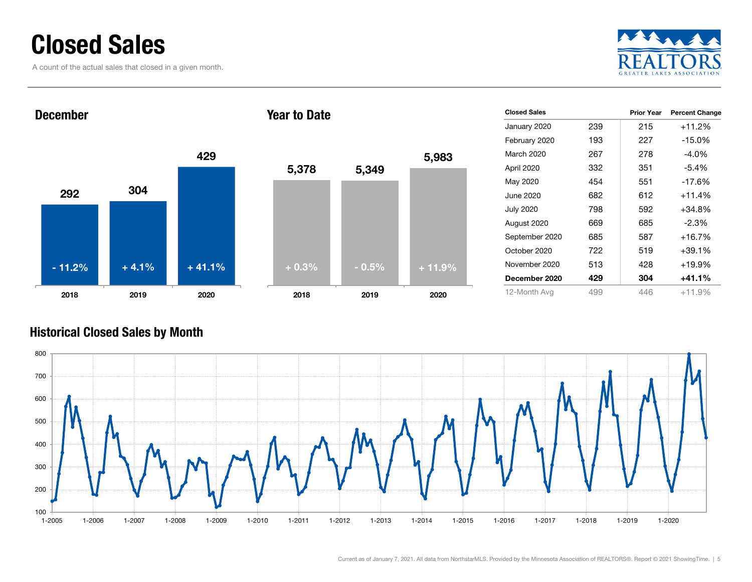## Closed Sales

A count of the actual sales that closed in a given month.



292 <sup>304</sup> 4292018 2019 2020 December5,378 5,349 2018 2019 2020 Year to Date- 11.2% $+4.1\%$   $+41.1\%$   $+0.3\%$   $-0.5\%$   $+11.9\%$ 

| <b>Closed Sales</b> |     | <b>Prior Year</b> | <b>Percent Change</b> |
|---------------------|-----|-------------------|-----------------------|
| January 2020        | 239 | 215               | $+11.2%$              |
| February 2020       | 193 | 227               | $-15.0%$              |
| March 2020          | 267 | 278               | $-4.0\%$              |
| April 2020          | 332 | 351               | $-5.4\%$              |
| May 2020            | 454 | 551               | $-17.6\%$             |
| June 2020           | 682 | 612               | $+11.4%$              |
| <b>July 2020</b>    | 798 | 592               | $+34.8%$              |
| August 2020         | 669 | 685               | $-2.3\%$              |
| September 2020      | 685 | 587               | +16.7%                |
| October 2020        | 722 | 519               | $+39.1%$              |
| November 2020       | 513 | 428               | $+19.9%$              |
| December 2020       | 429 | 304               | $+41.1%$              |
| 12-Month Avg        | 499 | 446               | $+11.9%$              |

### Historical Closed Sales by Month



5,983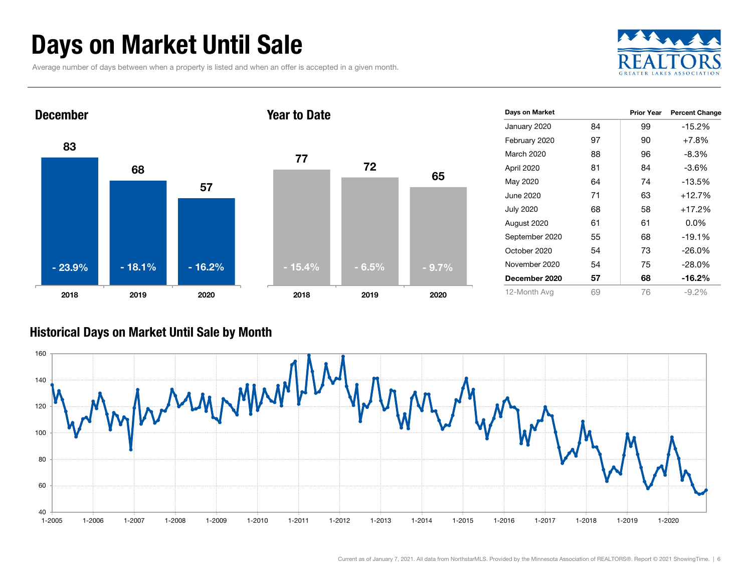# Days on Market Until Sale

Average number of days between when a property is listed and when an offer is accepted in a given month.





### Historical Days on Market Until Sale by Month

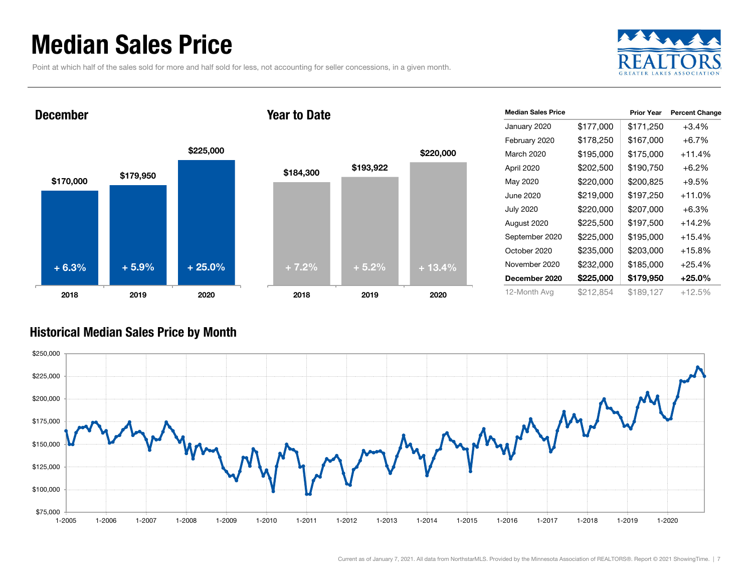## Median Sales Price

Point at which half of the sales sold for more and half sold for less, not accounting for seller concessions, in a given month.



#### December

#### Year to Date



| <b>Median Sales Price</b> |           | <b>Prior Year</b> | <b>Percent Change</b> |
|---------------------------|-----------|-------------------|-----------------------|
| January 2020              | \$177,000 | \$171,250         | $+3.4%$               |
| February 2020             | \$178,250 | \$167,000         | $+6.7\%$              |
| March 2020                | \$195,000 | \$175,000         | +11.4%                |
| April 2020                | \$202,500 | \$190,750         | $+6.2%$               |
| May 2020                  | \$220,000 | \$200,825         | $+9.5%$               |
| June 2020                 | \$219,000 | \$197,250         | $+11.0%$              |
| <b>July 2020</b>          | \$220,000 | \$207,000         | $+6.3%$               |
| August 2020               | \$225,500 | \$197,500         | $+14.2%$              |
| September 2020            | \$225,000 | \$195,000         | $+15.4%$              |
| October 2020              | \$235,000 | \$203,000         | +15.8%                |
| November 2020             | \$232,000 | \$185,000         | $+25.4%$              |
| December 2020             | \$225,000 | \$179,950         | +25.0%                |
| 12-Month Avg              | \$212,854 | \$189.127         | $+12.5%$              |

### Historical Median Sales Price by Month

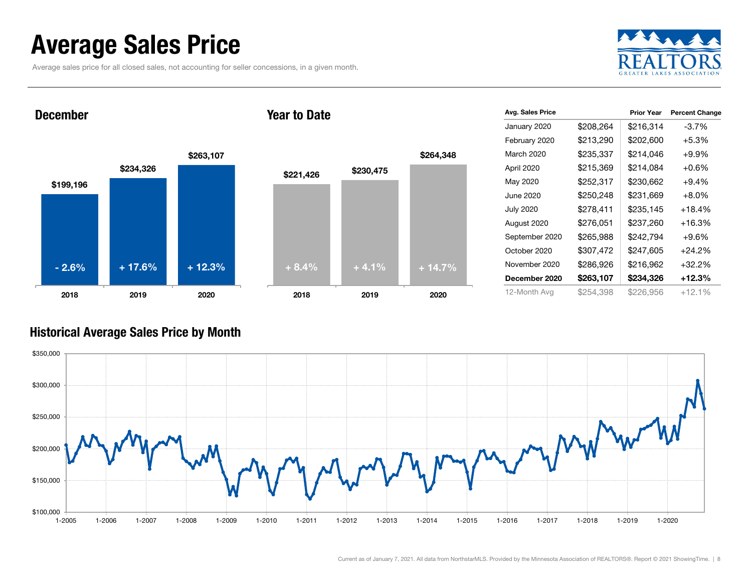## Average Sales Price

Average sales price for all closed sales, not accounting for seller concessions, in a given month.



December

#### Year to Date



| Avg. Sales Price |           | <b>Prior Year</b> | <b>Percent Change</b> |
|------------------|-----------|-------------------|-----------------------|
| January 2020     | \$208,264 | \$216,314         | $-3.7%$               |
| February 2020    | \$213,290 | \$202,600         | $+5.3%$               |
| March 2020       | \$235,337 | \$214.046         | $+9.9%$               |
| April 2020       | \$215,369 | \$214,084         | $+0.6%$               |
| May 2020         | \$252,317 | \$230,662         | $+9.4\%$              |
| June 2020        | \$250,248 | \$231,669         | $+8.0%$               |
| <b>July 2020</b> | \$278,411 | \$235,145         | $+18.4%$              |
| August 2020      | \$276,051 | \$237,260         | $+16.3%$              |
| September 2020   | \$265,988 | \$242,794         | $+9.6\%$              |
| October 2020     | \$307,472 | \$247,605         | $+24.2%$              |
| November 2020    | \$286,926 | \$216,962         | $+32.2%$              |
| December 2020    | \$263,107 | \$234,326         | +12.3%                |
| 12-Month Avg     | \$254,398 | \$226,956         | $+12.1%$              |

#### Historical Average Sales Price by Month

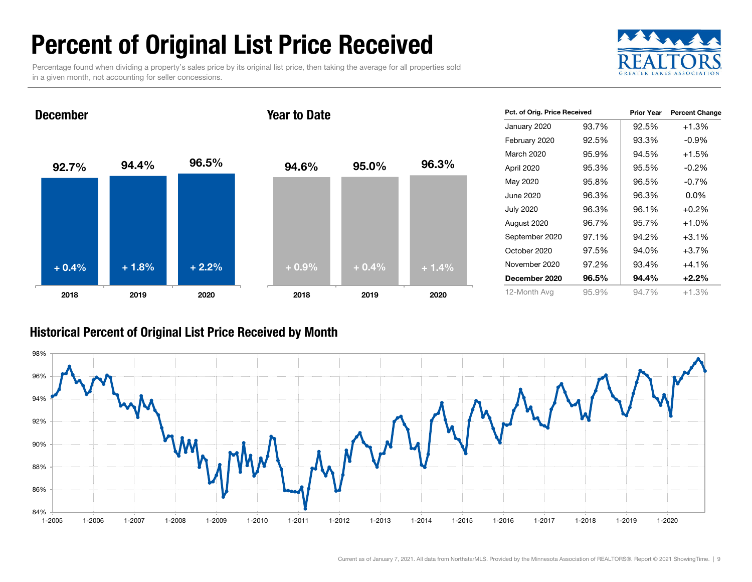# Percent of Original List Price Received

Percentage found when dividing a property's sales price by its original list price, then taking the average for all properties sold in a given month, not accounting for seller concessions.



92.7% 94.4% 96.5% 2018 2019 2020 December94.6% 95.0% 96.3% 2018 2019 2020 Year to Date+ 0.4% $\%$  + 1.8% + 2.2% + 0.9% + 0.4% + 1.4%

| Pct. of Orig. Price Received |       | <b>Prior Year</b> | <b>Percent Change</b> |
|------------------------------|-------|-------------------|-----------------------|
| January 2020                 | 93.7% | 92.5%             | $+1.3%$               |
| February 2020                | 92.5% | 93.3%             | $-0.9\%$              |
| March 2020                   | 95.9% | 94.5%             | $+1.5%$               |
| April 2020                   | 95.3% | 95.5%             | $-0.2\%$              |
| May 2020                     | 95.8% | 96.5%             | $-0.7\%$              |
| June 2020                    | 96.3% | 96.3%             | $0.0\%$               |
| <b>July 2020</b>             | 96.3% | 96.1%             | $+0.2\%$              |
| August 2020                  | 96.7% | 95.7%             | $+1.0%$               |
| September 2020               | 97.1% | 94.2%             | $+3.1%$               |
| October 2020                 | 97.5% | 94.0%             | $+3.7%$               |
| November 2020                | 97.2% | 93.4%             | $+4.1%$               |
| December 2020                | 96.5% | 94.4%             | $+2.2%$               |
| 12-Month Avg                 | 95.9% | 94.7%             | +1.3%                 |

### Historical Percent of Original List Price Received by Month

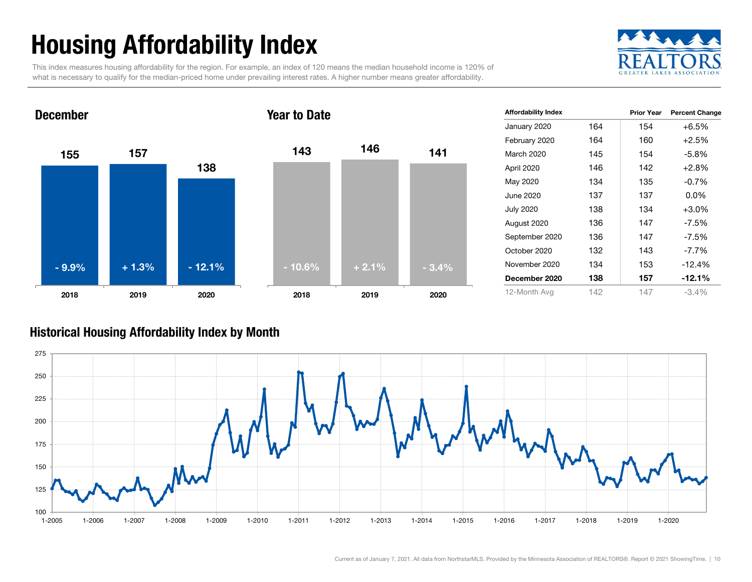# Housing Affordability Index

This index measures housing affordability for the region. For example, an index of 120 means the median household income is 120% of what is necessary to qualify for the median-priced home under prevailing interest rates. A higher number means greater affordability.





| <b>Affordability Index</b> |     | <b>Prior Year</b> | <b>Percent Change</b> |
|----------------------------|-----|-------------------|-----------------------|
| January 2020               | 164 | 154               | $+6.5%$               |
| February 2020              | 164 | 160               | $+2.5%$               |
| March 2020                 | 145 | 154               | -5.8%                 |
| April 2020                 | 146 | 142               | $+2.8%$               |
| May 2020                   | 134 | 135               | $-0.7\%$              |
| June 2020                  | 137 | 137               | $0.0\%$               |
| <b>July 2020</b>           | 138 | 134               | $+3.0\%$              |
| August 2020                | 136 | 147               | $-7.5%$               |
| September 2020             | 136 | 147               | -7.5%                 |
| October 2020               | 132 | 143               | $-7.7\%$              |
| November 2020              | 134 | 153               | $-12.4%$              |
| December 2020              | 138 | 157               | $-12.1%$              |
| 12-Month Avg               | 142 | 147               | $-3.4\%$              |

### Historical Housing Affordability Index by Mont h

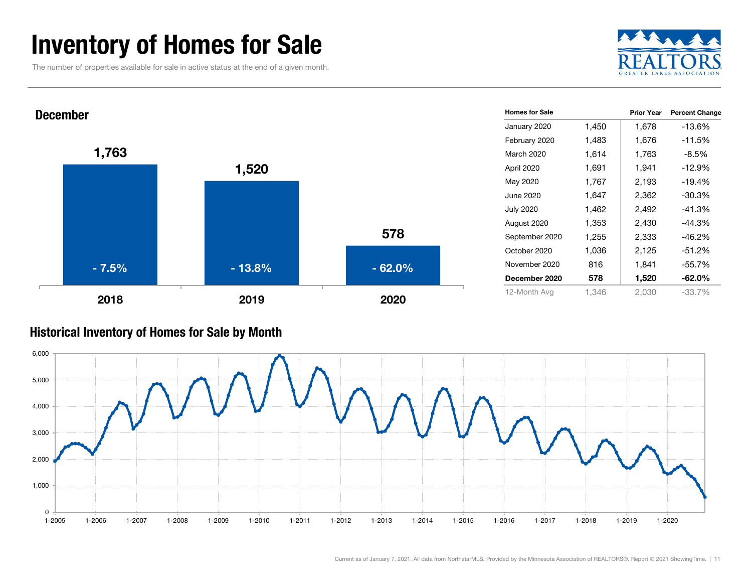## Inventory of Homes for Sale

The number of properties available for sale in active status at the end of a given month.





#### Historical Inventory of Homes for Sale by Month

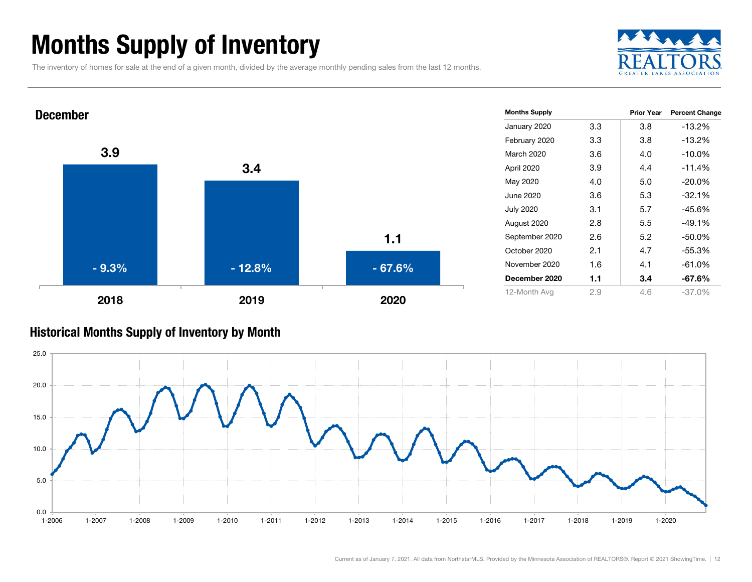# Months Supply of Inventory

The inventory of homes for sale at the end of a given month, divided by the average monthly pending sales from the last 12 months.





#### Historical Months Supply of Inventory by Month